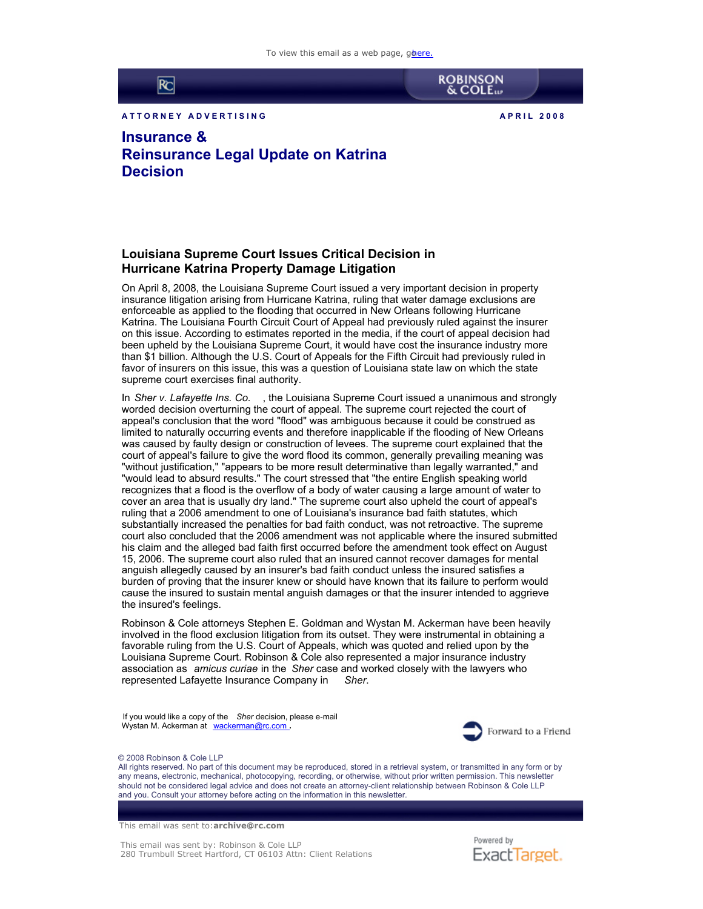To view this email as a web page, ghere.



A T T O RN E Y A D VERTISING **A PRIL 2008** 



**ROBINSON**<br>& COLE

**Insurance & Reinsurance Legal Update on Katrina Decision**

## **Louisiana Supreme Court Issues Critical Decision in Hurricane Katrina Property Damage Litigation**

On April 8, 2008, the Louisiana Supreme Court issued a very important decision in property insurance litigation arising from Hurricane Katrina, ruling that water damage exclusions are enforceable as applied to the flooding that occurred in New Orleans following Hurricane Katrina. The Louisiana Fourth Circuit Court of Appeal had previously ruled against the insurer on this issue. According to estimates reported in the media, if the court of appeal decision had been upheld by the Louisiana Supreme Court, it would have cost the insurance industry more than \$1 billion. Although the U.S. Court of Appeals for the Fifth Circuit had previously ruled in favor of insurers on this issue, this was a question of Louisiana state law on which the state supreme court exercises final authority.

In *Sher v. Lafayette Ins. Co.* , the Louisiana Supreme Court issued a unanimous and strongly worded decision overturning the court of appeal. The supreme court rejected the court of appeal's conclusion that the word "flood" was ambiguous because it could be construed as limited to naturally occurring events and therefore inapplicable if the flooding of New Orleans was caused by faulty design or construction of levees. The supreme court explained that the court of appeal's failure to give the word flood its common, generally prevailing meaning was "without justification," "appears to be more result determinative than legally warranted," and "would lead to absurd results." The court stressed that "the entire English speaking world recognizes that a flood is the overflow of a body of water causing a large amount of water to cover an area that is usually dry land." The supreme court also upheld the court of appeal's ruling that a 2006 amendment to one of Louisiana's insurance bad faith statutes, which substantially increased the penalties for bad faith conduct, was not retroactive. The supreme court also concluded that the 2006 amendment was not applicable where the insured submitted his claim and the alleged bad faith first occurred before the amendment took effect on August 15, 2006. The supreme court also ruled that an insured cannot recover damages for mental anguish allegedly caused by an insurer's bad faith conduct unless the insured satisfies a burden of proving that the insurer knew or should have known that its failure to perform would cause the insured to sustain mental anguish damages or that the insurer intended to aggrieve the insured's feelings.

Robinson & Cole attorneys Stephen E. Goldman and Wystan M. Ackerman have been heavily involved in the flood exclusion litigation from its outset. They were instrumental in obtaining a favorable ruling from the U.S. Court of Appeals, which was quoted and relied upon by the Louisiana Supreme Court. Robinson & Cole also represented a major insurance industry association as *amicus curiae* in the *Sher* case and worked closely with the lawyers who represented Lafayette Insurance Company in *Sher*.

If you would like a copy of the *Sher* decision, please e-mail Wystan M. Ackerman at [wackerman@rc.com](mailto:wackerman@rc.com) **.**



## © 2008 Robinson & Cole LLP

All rights reserved. No part of this document may be reproduced, stored in a retrieval system, or transmitted in any form or by any means, electronic, mechanical, photocopying, recording, or otherwise, without prior written permission. This newsletter should not be considered legal advice and does not create an attorney-client relationship between Robinson & Cole LLP and you. Consult your attorney before acting on the information in this newsletter.

This email was sent to: **archive@rc.com**

This email was sent by: Robinson & Cole LLP 280 Trumbull Street Hartford, CT 06103 Attn: Client Relations